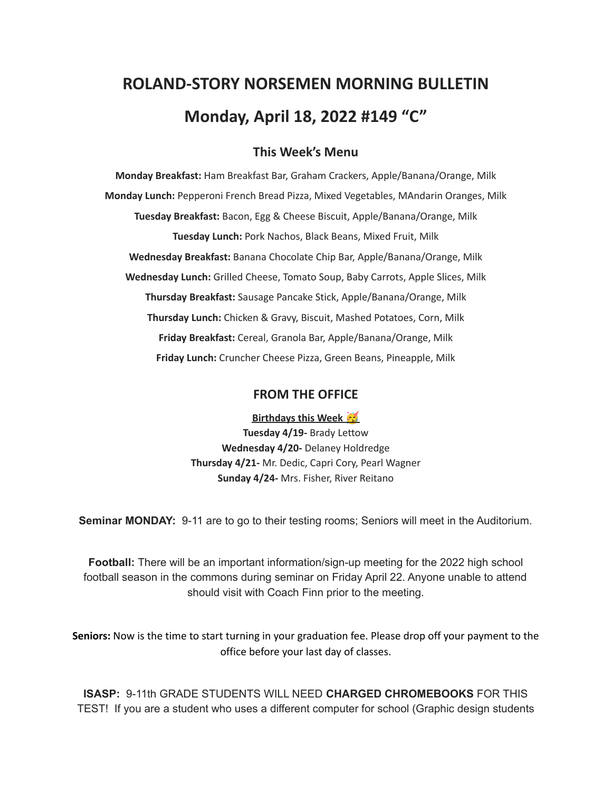# **ROLAND-STORY NORSEMEN MORNING BULLETIN Monday, April 18, 2022 #149 "C"**

## **This Week's Menu**

**Monday Breakfast:** Ham Breakfast Bar, Graham Crackers, Apple/Banana/Orange, Milk **Monday Lunch:** Pepperoni French Bread Pizza, Mixed Vegetables, MAndarin Oranges, Milk **Tuesday Breakfast:** Bacon, Egg & Cheese Biscuit, Apple/Banana/Orange, Milk **Tuesday Lunch:** Pork Nachos, Black Beans, Mixed Fruit, Milk **Wednesday Breakfast:** Banana Chocolate Chip Bar, Apple/Banana/Orange, Milk **Wednesday Lunch:** Grilled Cheese, Tomato Soup, Baby Carrots, Apple Slices, Milk **Thursday Breakfast:** Sausage Pancake Stick, Apple/Banana/Orange, Milk **Thursday Lunch:** Chicken & Gravy, Biscuit, Mashed Potatoes, Corn, Milk **Friday Breakfast:** Cereal, Granola Bar, Apple/Banana/Orange, Milk **Friday Lunch:** Cruncher Cheese Pizza, Green Beans, Pineapple, Milk

#### **FROM THE OFFICE**

**Birthdays this Week Tuesday 4/19-** Brady Lettow **Wednesday 4/20-** Delaney Holdredge **Thursday 4/21-** Mr. Dedic, Capri Cory, Pearl Wagner **Sunday 4/24-** Mrs. Fisher, River Reitano

**Seminar MONDAY:** 9-11 are to go to their testing rooms; Seniors will meet in the Auditorium.

**Football:** There will be an important information/sign-up meeting for the 2022 high school football season in the commons during seminar on Friday April 22. Anyone unable to attend should visit with Coach Finn prior to the meeting.

**Seniors:** Now is the time to start turning in your graduation fee. Please drop off your payment to the office before your last day of classes.

**ISASP:** 9-11th GRADE STUDENTS WILL NEED **CHARGED CHROMEBOOKS** FOR THIS TEST! If you are a student who uses a different computer for school (Graphic design students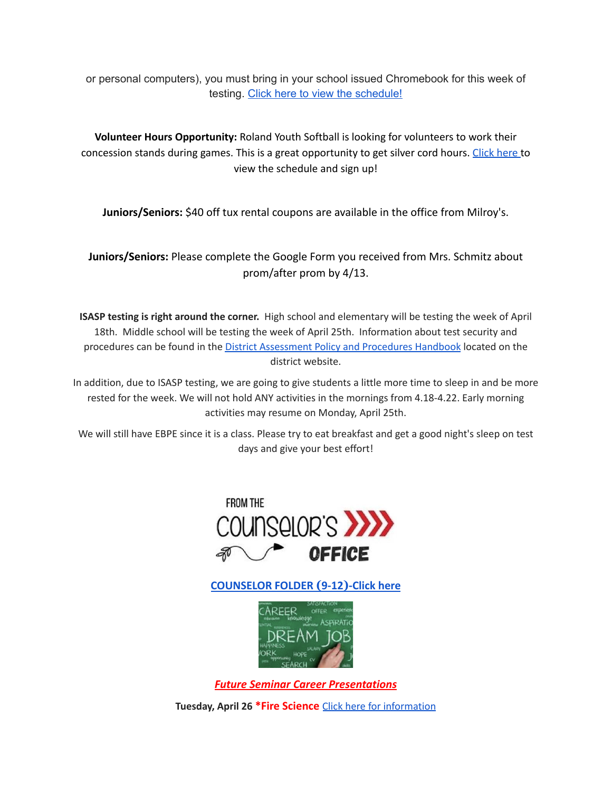or personal computers), you must bring in your school issued Chromebook for this week of testing. Click here to view the [schedule!](https://drive.google.com/file/d/1oJMZErS8FGQzmk-4RTplJ4I81WmFAJp9/view?usp=sharing)

**Volunteer Hours Opportunity:** Roland Youth Softball is looking for volunteers to work their concession stands during games. This is a great opportunity to get silver cord hours. [Click](https://www.signupgenius.com/go/70a094facac2aa0f85-roland1) here to view the schedule and sign up!

**Juniors/Seniors:** \$40 off tux rental coupons are available in the office from Milroy's.

**Juniors/Seniors:** Please complete the Google Form you received from Mrs. Schmitz about prom/after prom by 4/13.

**ISASP testing is right around the corner.** High school and elementary will be testing the week of April 18th. Middle school will be testing the week of April 25th. Information about test security and procedures can be found in the **District [Assessment](https://rolandstory.school/media/Michelle%20Soderstrum/RSCSD_District_Assessment_Poli%20-%20Copy%203.pdf) Policy and Procedures Handbook** located on the district website.

In addition, due to ISASP testing, we are going to give students a little more time to sleep in and be more rested for the week. We will not hold ANY activities in the mornings from 4.18-4.22. Early morning activities may resume on Monday, April 25th.

We will still have EBPE since it is a class. Please try to eat breakfast and get a good night's sleep on test days and give your best effort!



**[COUNSELOR FOLDER](https://docs.google.com/document/d/1vmwczNPbDzXe9vFaG5LJMQ7NYDv-i4oQJHybqA65TUc/edit?usp=sharing) (9-12)-Click here**



*Future Seminar Career Presentations*

**Tuesday, April 26 \*Fire Science** Click here for [information](https://www.dmacc.edu/programs/fire/Pages/welcome.aspx)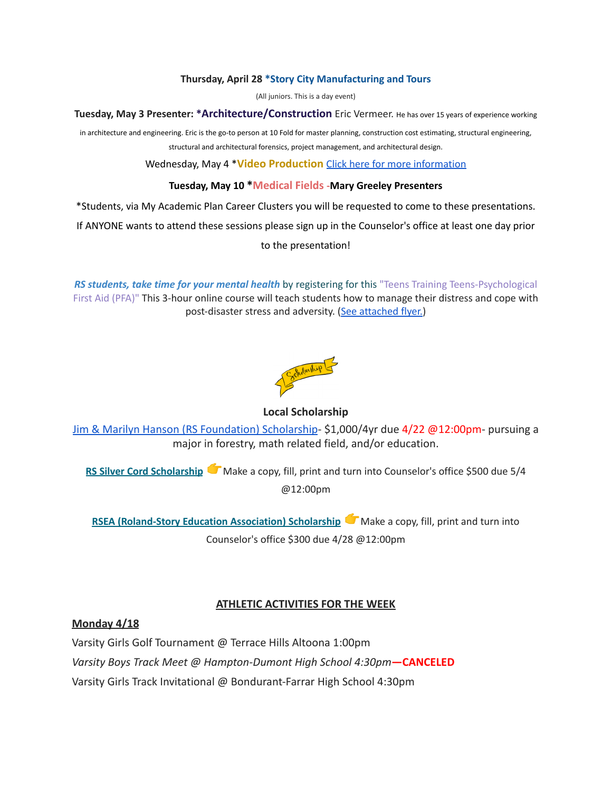#### **Thursday, April 28 \*Story City Manufacturing and Tours**

(All juniors. This is a day event)

**Tuesday, May 3 Presenter: \*Architecture/Construction** Eric Vermeer. He has over <sup>15</sup> years of experience working

in architecture and engineering. Eric is the go-to person at 10 Fold for master planning, construction cost estimating, structural engineering, structural and architectural forensics, project management, and architectural design.

Wednesday, May 4 \***Video Production** Click here for more [information](https://www.dmacc.edu/programs/video/Pages/welcome.aspx)

#### **Tuesday, May 10 \*Medical Fields -Mary Greeley Presenters**

\*Students, via My Academic Plan Career Clusters you will be requested to come to these presentations.

If ANYONE wants to attend these sessions please sign up in the Counselor's office at least one day prior

to the presentation!

*RS students, take time for your mental health* by registering for this "Teens Training Teens-Psychological First Aid (PFA)" This 3-hour online course will teach students how to manage their distress and cope with post-disaster stress and adversity. (See [attached](https://drive.google.com/file/d/18ZxsDgb9mTVccDP5AD1ejwqoEi1MNUwE/view?usp=sharing) flyer.)



#### **Local Scholarship**

[Jim & Marilyn Hanson \(RS Foundation\) Scholarship](https://docs.google.com/document/d/1ZTlh8dBWKYLTE2ZXAX8cFE_071yzMHCiRBXRqeR_Sv8/edit?usp=sharing)- \$1,000/4yr due 4/22 @12:00pm- pursuing a major in forestry, math related field, and/or education.

**RS Silver Cord [Scholarship](https://docs.google.com/document/d/12og0k5MTIc1OeFEzEig2sJZbI5ykSKtMlEJRu1iKhdA/edit?usp=sharing)** Make a copy, fill, print and turn into Counselor's office \$500 due 5/4 @12:00pm

**RSEA [\(Roland-Story](https://docs.google.com/document/d/1YwFGXKN4fBAFzL5lRATvKspYv1CbagujvEZKrQq0Kcg/edit?usp=sharing) Education Association) Scholarship** Make a copy, fill, print and turn into Counselor's office \$300 due 4/28 @12:00pm

### **ATHLETIC ACTIVITIES FOR THE WEEK**

#### **Monday 4/18**

Varsity Girls Golf Tournament @ Terrace Hills Altoona 1:00pm

*Varsity Boys Track Meet @ Hampton-Dumont High School 4:30pm***—CANCELED**

Varsity Girls Track Invitational @ Bondurant-Farrar High School 4:30pm